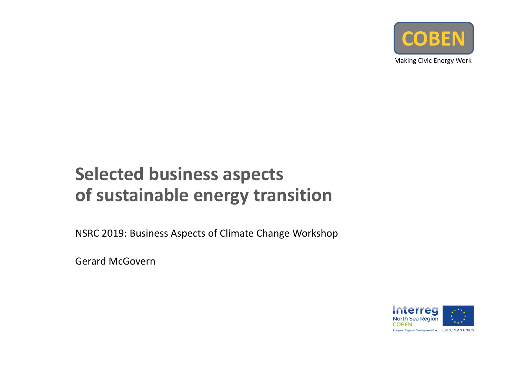

Making Civic Energy Work

### rects **COBENSelected business aspects of sustainable energy transition**

NSRC 2019: Business Aspects of Climate Change Workshop

Gerard McGovern

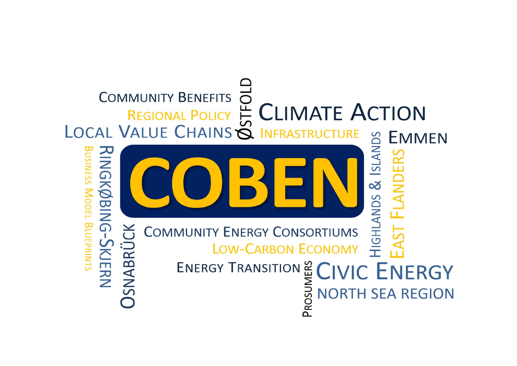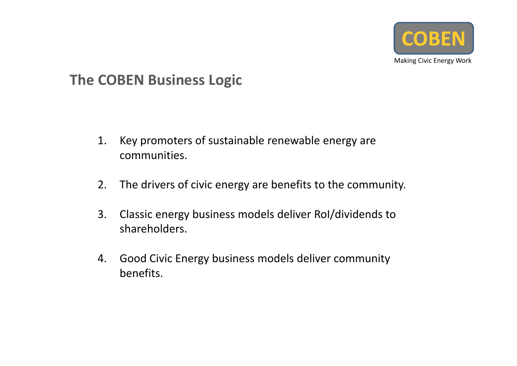

### **The COBEN Business Logic**

- 1. Key promoters of sustainable renewable energy are communities.
- 2. The drivers of civic energy are benefits to the community.
- 3. Classic energy business models deliver RoI/dividends to shareholders.
- 4. Good Civic Energy business models deliver community benefits.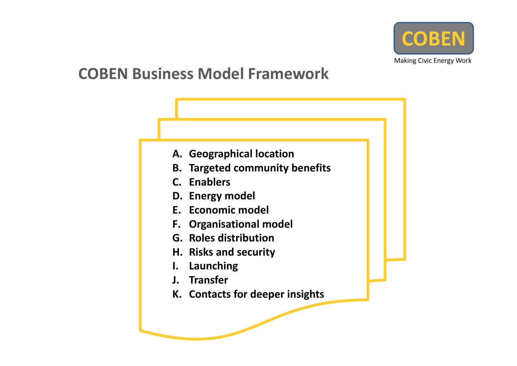

## **COBEN Business Model Framework**

- **A. Geographical location**
- mmunity benefits **B. Targeted community benefits<br>C. Enablers**
- **C. Enablers**
- **D. Energy model**
- **E. Economic model**
- **F. Organisational model**
- **G. Roles distribution**
- **H. Risks and security**
- **I. Launching**
- **J. Transfer**
- **K. Contacts for deeper insights**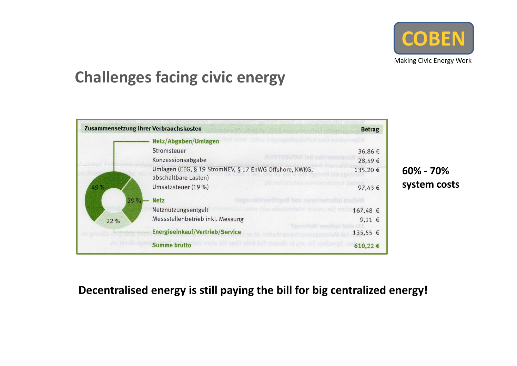

# **Challenges facing civic energy**

|            | Zusammensetzung Ihrer Verbrauchskosten                                         | <b>Betrag</b> |
|------------|--------------------------------------------------------------------------------|---------------|
|            | Netz/Abgaben/Umlagen                                                           |               |
|            | Stromsteuer                                                                    | 36,86€        |
|            | Konzessionsabgabe                                                              | 28,59€        |
|            | Umlagen (EEG, § 19 StromNEV, § 17 EnWG Offshore, KWKG,<br>abschaltbare Lasten) | 135,20€       |
| 49%<br>29% | Umsatzsteuer (19 %)                                                            | 97,43€        |
|            | <b>Netz</b>                                                                    |               |
|            | Netznutzungsentgelt                                                            | 167,48 €      |
| 22%        | Messstellenbetrieb inkl. Messung                                               | $9,11$ €      |
|            | Energieeinkauf/Vertrieb/Service                                                | 135,55 €      |
|            | <b>Summe brutto</b>                                                            | 610,22€       |

**60% ‐ 70% system costs**

#### **Decentralised energy is still paying the bill for big centralized energy!**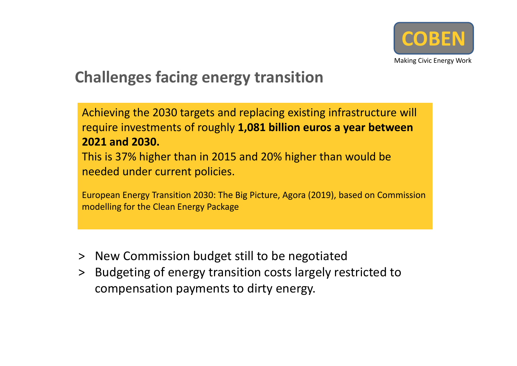

# **Challenges facing energy transition**

Achieving the 2030 targets and replacing existing infrastructure will require investments of roughly **1,081 billion euros <sup>a</sup> year between 2021 and 2030.**

**COBETTER**<br>COBETTER CO This is 37% higher than in 2015 and 20% higher than would be needed under current policies.

European Energy Transition 2030: The Big Picture, Agora (2019), based on Commission modelling for the Clean Energy Package

- ˃ New Commission budget still to be negotiated
- ˃ Budgeting of energy transition costs largely restricted to compensation payments to dirty energy.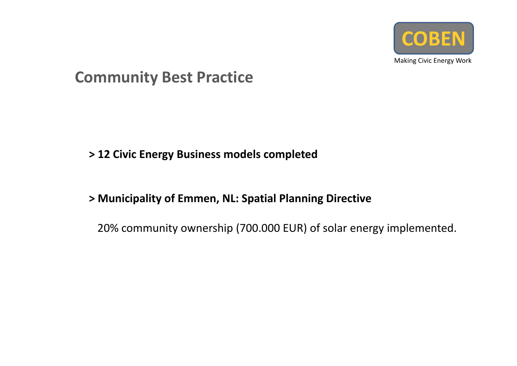

## **Community Best Practice**

### **COBE > 12 Civic Energy Business models completed**

#### **> Municipality of Emmen, NL: Spatial Planning Directive**

20% community ownership (700.000 EUR) of solar energy implemented.